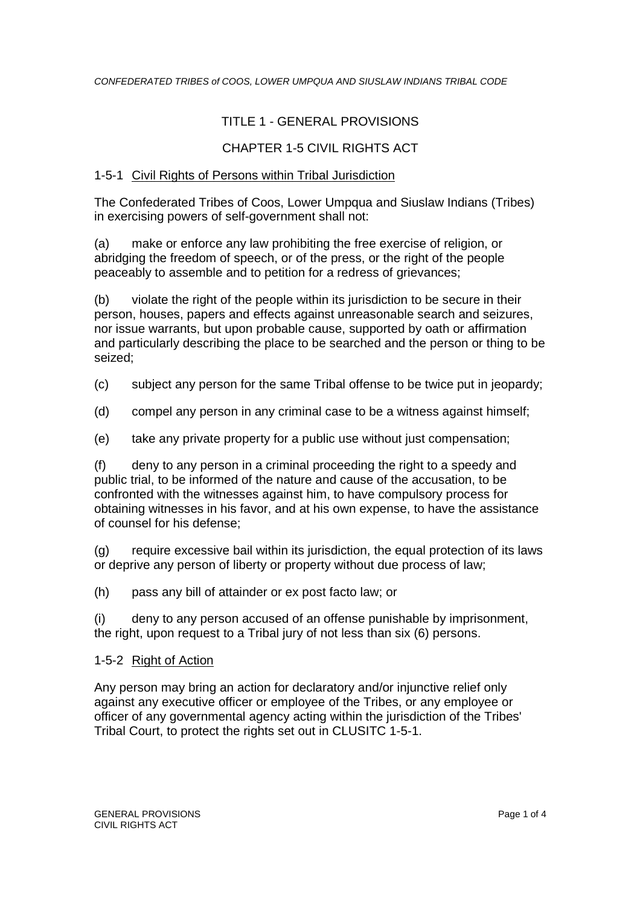## TITLE 1 - GENERAL PROVISIONS

## CHAPTER 1-5 CIVIL RIGHTS ACT

## 1-5-1 Civil Rights of Persons within Tribal Jurisdiction

The Confederated Tribes of Coos, Lower Umpqua and Siuslaw Indians (Tribes) in exercising powers of self-government shall not:

(a) make or enforce any law prohibiting the free exercise of religion, or abridging the freedom of speech, or of the press, or the right of the people peaceably to assemble and to petition for a redress of grievances;

(b) violate the right of the people within its jurisdiction to be secure in their person, houses, papers and effects against unreasonable search and seizures, nor issue warrants, but upon probable cause, supported by oath or affirmation and particularly describing the place to be searched and the person or thing to be seized;

- (c) subject any person for the same Tribal offense to be twice put in jeopardy;
- (d) compel any person in any criminal case to be a witness against himself;
- (e) take any private property for a public use without just compensation;

(f) deny to any person in a criminal proceeding the right to a speedy and public trial, to be informed of the nature and cause of the accusation, to be confronted with the witnesses against him, to have compulsory process for obtaining witnesses in his favor, and at his own expense, to have the assistance of counsel for his defense;

(g) require excessive bail within its jurisdiction, the equal protection of its laws or deprive any person of liberty or property without due process of law;

(h) pass any bill of attainder or ex post facto law; or

(i) deny to any person accused of an offense punishable by imprisonment, the right, upon request to a Tribal jury of not less than six (6) persons.

#### 1-5-2 Right of Action

Any person may bring an action for declaratory and/or injunctive relief only against any executive officer or employee of the Tribes, or any employee or officer of any governmental agency acting within the jurisdiction of the Tribes' Tribal Court, to protect the rights set out in CLUSITC 1-5-1.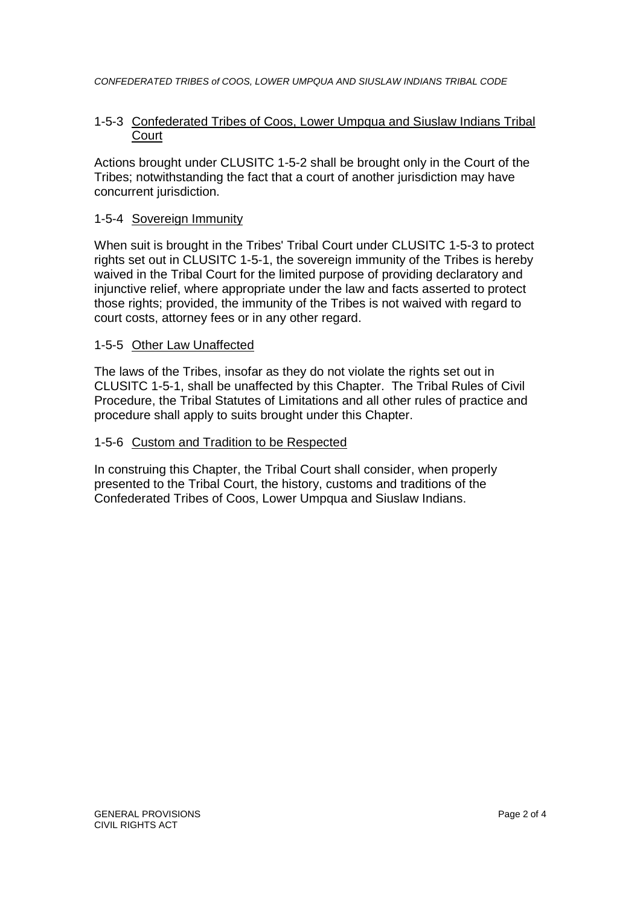#### 1-5-3 Confederated Tribes of Coos, Lower Umpqua and Siuslaw Indians Tribal **Court**

Actions brought under CLUSITC 1-5-2 shall be brought only in the Court of the Tribes; notwithstanding the fact that a court of another jurisdiction may have concurrent jurisdiction.

## 1-5-4 Sovereign Immunity

When suit is brought in the Tribes' Tribal Court under CLUSITC 1-5-3 to protect rights set out in CLUSITC 1-5-1, the sovereign immunity of the Tribes is hereby waived in the Tribal Court for the limited purpose of providing declaratory and injunctive relief, where appropriate under the law and facts asserted to protect those rights; provided, the immunity of the Tribes is not waived with regard to court costs, attorney fees or in any other regard.

#### 1-5-5 Other Law Unaffected

The laws of the Tribes, insofar as they do not violate the rights set out in CLUSITC 1-5-1, shall be unaffected by this Chapter. The Tribal Rules of Civil Procedure, the Tribal Statutes of Limitations and all other rules of practice and procedure shall apply to suits brought under this Chapter.

#### 1-5-6 Custom and Tradition to be Respected

In construing this Chapter, the Tribal Court shall consider, when properly presented to the Tribal Court, the history, customs and traditions of the Confederated Tribes of Coos, Lower Umpqua and Siuslaw Indians.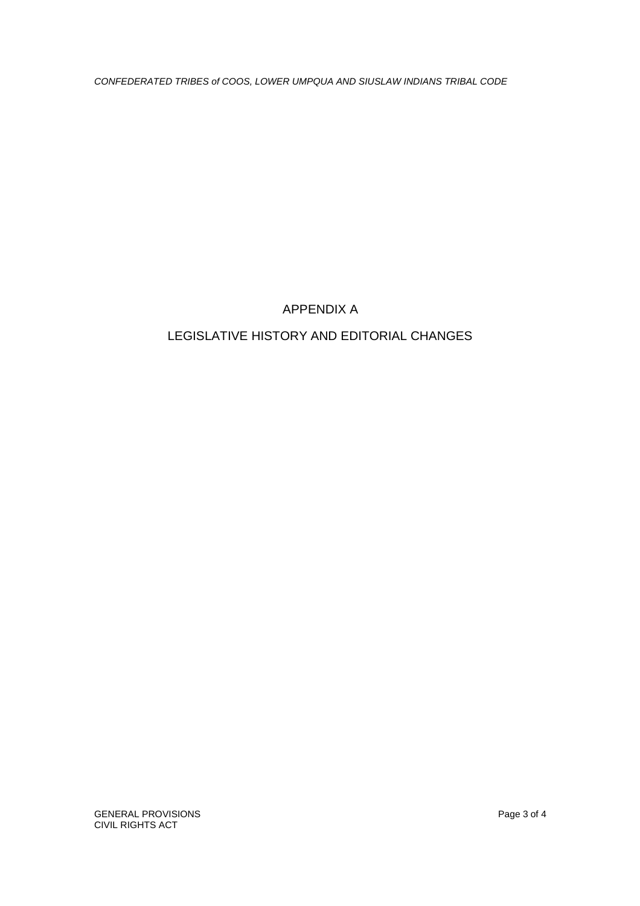# APPENDIX A

# LEGISLATIVE HISTORY AND EDITORIAL CHANGES